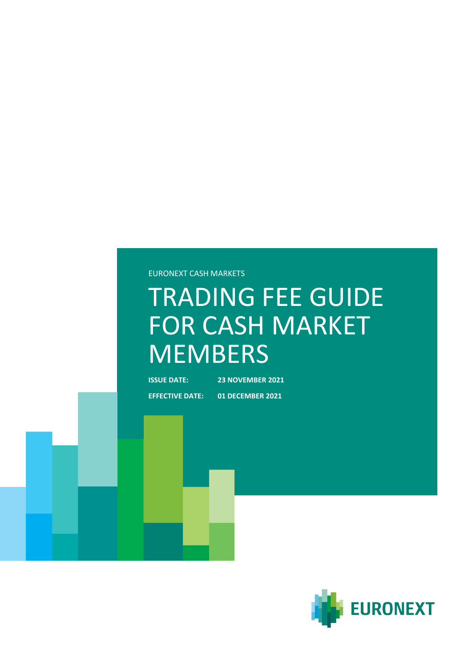EURONEXT CASH MARKETS

# TRADING FEE GUIDE FOR CASH MARKET **MEMBERS**

**ISSUE DATE: 23 NOVEMBER 2021**

**EFFECTIVE DATE: 01 DECEMBER 2021**

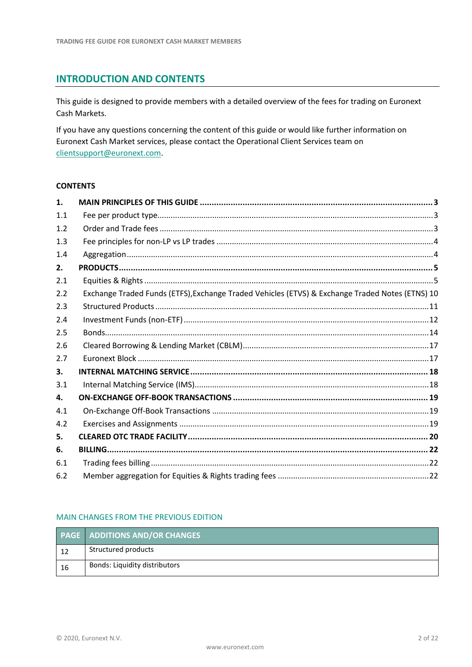# **INTRODUCTION AND CONTENTS**

This guide is designed to provide members with a detailed overview of the fees for trading on Euronext Cash Markets.

If you have any questions concerning the content of this guide or would like further information on Euronext Cash Market services, please contact the Operational Client Services team on [clientsupport@euronext.com.](mailto:clientsupport@euronext.com)

# **CONTENTS**

| 1.  |                                                                                                 |
|-----|-------------------------------------------------------------------------------------------------|
| 1.1 |                                                                                                 |
| 1.2 |                                                                                                 |
| 1.3 |                                                                                                 |
| 1.4 |                                                                                                 |
| 2.  |                                                                                                 |
| 2.1 |                                                                                                 |
| 2.2 | Exchange Traded Funds (ETFS), Exchange Traded Vehicles (ETVS) & Exchange Traded Notes (ETNS) 10 |
| 2.3 |                                                                                                 |
| 2.4 |                                                                                                 |
| 2.5 |                                                                                                 |
| 2.6 |                                                                                                 |
| 2.7 |                                                                                                 |
| 3.  |                                                                                                 |
| 3.1 |                                                                                                 |
| 4.  |                                                                                                 |
| 4.1 |                                                                                                 |
| 4.2 |                                                                                                 |
| 5.  |                                                                                                 |
| 6.  |                                                                                                 |
| 6.1 |                                                                                                 |
| 6.2 |                                                                                                 |

# MAIN CHANGES FROM THE PREVIOUS EDITION

|    | <b>PAGE   ADDITIONS AND/OR CHANGES</b> |
|----|----------------------------------------|
| 12 | Structured products                    |
| 16 | Bonds: Liquidity distributors          |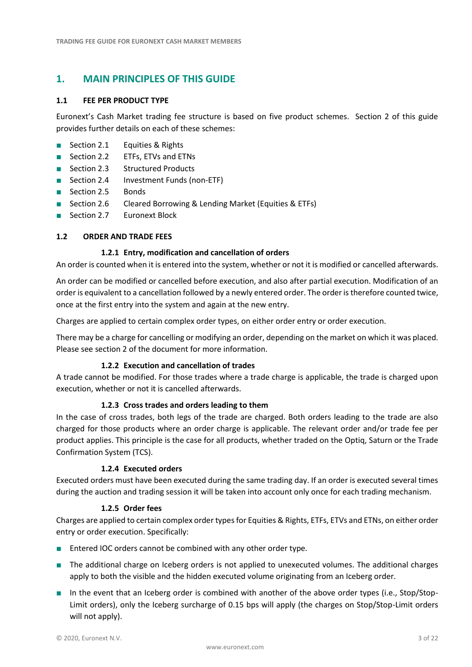# <span id="page-2-0"></span>**1. MAIN PRINCIPLES OF THIS GUIDE**

# <span id="page-2-1"></span>**1.1 FEE PER PRODUCT TYPE**

Euronext's Cash Market trading fee structure is based on five product schemes. Section 2 of this guide provides further details on each of these schemes:

- Section 2.1 Equities & Rights
- Section 2.2 ETFs, ETVs and ETNs
- Section 2.3 Structured Products
- Section 2.4 Investment Funds (non-ETF)
- Section 2.5 Bonds
- Section 2.6 Cleared Borrowing & Lending Market (Equities & ETFs)
- Section 2.7 Euronext Block

# <span id="page-2-2"></span>**1.2 ORDER AND TRADE FEES**

# **1.2.1 Entry, modification and cancellation of orders**

An order is counted when it is entered into the system, whether or not it is modified or cancelled afterwards.

An order can be modified or cancelled before execution, and also after partial execution. Modification of an order is equivalent to a cancellation followed by a newly entered order. The order is therefore counted twice, once at the first entry into the system and again at the new entry.

Charges are applied to certain complex order types, on either order entry or order execution.

There may be a charge for cancelling or modifying an order, depending on the market on which it was placed. Please see section 2 of the document for more information.

# **1.2.2 Execution and cancellation of trades**

A trade cannot be modified. For those trades where a trade charge is applicable, the trade is charged upon execution, whether or not it is cancelled afterwards.

# **1.2.3 Cross trades and orders leading to them**

In the case of cross trades, both legs of the trade are charged. Both orders leading to the trade are also charged for those products where an order charge is applicable. The relevant order and/or trade fee per product applies. This principle is the case for all products, whether traded on the Optiq, Saturn or the Trade Confirmation System (TCS).

# **1.2.4 Executed orders**

<span id="page-2-3"></span>Executed orders must have been executed during the same trading day. If an order is executed several times during the auction and trading session it will be taken into account only once for each trading mechanism.

# **1.2.5 Order fees**

Charges are applied to certain complex order types for Equities & Rights, ETFs, ETVs and ETNs, on either order entry or order execution. Specifically:

- Entered IOC orders cannot be combined with any other order type.
- The additional charge on Iceberg orders is not applied to unexecuted volumes. The additional charges apply to both the visible and the hidden executed volume originating from an Iceberg order.
- In the event that an Iceberg order is combined with another of the above order types (i.e., Stop/Stop-Limit orders), only the Iceberg surcharge of 0.15 bps will apply (the charges on Stop/Stop-Limit orders will not apply).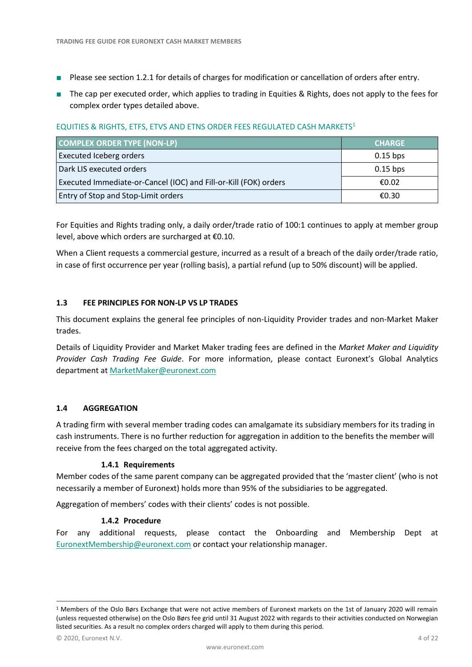- Please see section 1.2.1 for details of charges for modification or cancellation of orders after entry.
- The cap per executed order, which applies to trading in Equities & Rights, does not apply to the fees for complex order types detailed above.

# EQUITIES & RIGHTS, ETFS, ETVS AND ETNS ORDER FEES REGULATED CASH MARKETS<sup>1</sup>

| <b>COMPLEX ORDER TYPE (NON-LP)</b>                               | <b>CHARGE</b> |
|------------------------------------------------------------------|---------------|
| <b>Executed Iceberg orders</b>                                   | $0.15$ bps    |
| Dark LIS executed orders                                         | $0.15$ bps    |
| Executed Immediate-or-Cancel (IOC) and Fill-or-Kill (FOK) orders | €0.02         |
| <b>Entry of Stop and Stop-Limit orders</b>                       | €0.30         |

For Equities and Rights trading only, a daily order/trade ratio of 100:1 continues to apply at member group level, above which orders are surcharged at €0.10.

When a Client requests a commercial gesture, incurred as a result of a breach of the daily order/trade ratio, in case of first occurrence per year (rolling basis), a partial refund (up to 50% discount) will be applied.

# <span id="page-3-0"></span>**1.3 FEE PRINCIPLES FOR NON-LP VS LP TRADES**

This document explains the general fee principles of non-Liquidity Provider trades and non-Market Maker trades.

Details of Liquidity Provider and Market Maker trading fees are defined in the *Market Maker and Liquidity Provider Cash Trading Fee Guide*. For more information, please contact Euronext's Global Analytics department a[t MarketMaker@euronext.com](mailto:MarketMaker@euronext.com)

# <span id="page-3-1"></span>**1.4 AGGREGATION**

A trading firm with several member trading codes can amalgamate its subsidiary members for its trading in cash instruments. There is no further reduction for aggregation in addition to the benefits the member will receive from the fees charged on the total aggregated activity.

# **1.4.1 Requirements**

Member codes of the same parent company can be aggregated provided that the 'master client' (who is not necessarily a member of Euronext) holds more than 95% of the subsidiaries to be aggregated.

Aggregation of members' codes with their clients' codes is not possible.

#### **1.4.2 Procedure**

For any additional requests, please contact the Onboarding and Membership Dept at [EuronextMembership@euronext.com](mailto:EuronextMembership@euronext.com) or contact your relationship manager.

\_\_\_\_\_\_\_\_\_\_\_\_\_\_\_\_\_\_\_\_\_\_\_\_\_\_\_\_\_\_\_\_\_\_\_\_\_\_\_\_\_\_\_\_\_\_\_\_\_\_\_\_\_\_\_\_\_\_\_\_\_\_\_\_\_\_\_\_\_\_\_\_\_\_\_\_\_\_\_\_\_\_\_\_\_\_\_\_\_\_\_\_\_\_\_\_\_\_\_\_\_\_\_\_\_\_\_\_\_\_\_\_\_\_\_\_\_\_\_\_\_

 $1$  Members of the Oslo Børs Exchange that were not active members of Euronext markets on the 1st of January 2020 will remain (unless requested otherwise) on the Oslo Børs fee grid until 31 August 2022 with regards to their activities conducted on Norwegian listed securities. As a result no complex orders charged will apply to them during this period.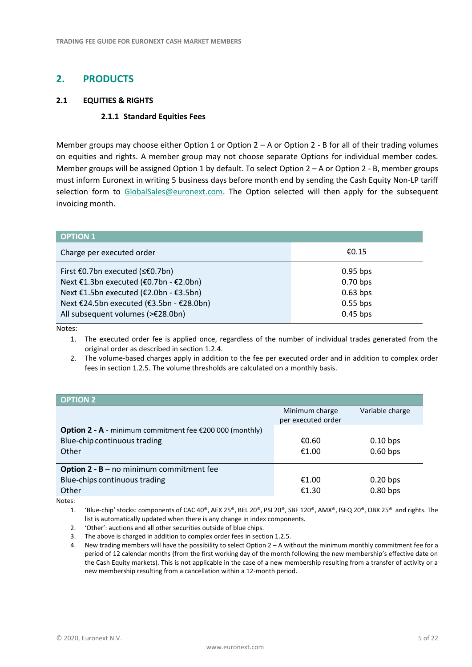# <span id="page-4-0"></span>**2. PRODUCTS**

# <span id="page-4-1"></span>**2.1 EQUITIES & RIGHTS**

# **2.1.1 Standard Equities Fees**

Member groups may choose either Option 1 or Option  $2 - A$  or Option 2 - B for all of their trading volumes on equities and rights. A member group may not choose separate Options for individual member codes. Member groups will be assigned Option 1 by default. To select Option 2 – A or Option 2 - B, member groups must inform Euronext in writing 5 business days before month end by sending the Cash Equity Non-LP tariff selection form to [GlobalSales@euronext.com.](mailto:GlobalSales@euronext.com) The Option selected will then apply for the subsequent invoicing month.

| <b>OPTION 1</b>                          |            |
|------------------------------------------|------------|
| Charge per executed order                | €0.15      |
| First €0.7bn executed (≤€0.7bn)          | $0.95$ bps |
| Next €1.3bn executed (€0.7bn - €2.0bn)   | $0.70$ bps |
| Next €1.5bn executed (€2.0bn - €3.5bn)   | $0.63$ bps |
| Next €24.5bn executed (€3.5bn - €28.0bn) | $0.55$ bps |
| All subsequent volumes (>€28.0bn)        | $0.45$ bps |

Notes:

1. The executed order fee is applied once, regardless of the number of individual trades generated from the original order as described in section 1.2.4.

2. The volume-based charges apply in addition to the fee per executed order and in addition to complex order fees in section 1.2.5. The volume thresholds are calculated on a monthly basis.

| <b>OPTION 2</b>                                                           |                                      |                 |
|---------------------------------------------------------------------------|--------------------------------------|-----------------|
|                                                                           | Minimum charge<br>per executed order | Variable charge |
| <b>Option 2 - A</b> - minimum commitment fee $\epsilon$ 200 000 (monthly) |                                      |                 |
| Blue-chip continuous trading                                              | €0.60                                | $0.10$ bps      |
| Other                                                                     | €1.00                                | $0.60$ bps      |
|                                                                           |                                      |                 |
| <b>Option 2 - B</b> – no minimum commitment fee                           |                                      |                 |
| Blue-chips continuous trading                                             | €1.00                                | $0.20$ bps      |
| Other                                                                     | €1.30                                | $0.80$ bps      |

Notes:

1. 'Blue-chip' stocks: components of CAC 40®, AEX 25®, BEL 20®, PSI 20®, SBF 120®, AMX®, ISEQ 20®, OBX 25® and rights. The list is automatically updated when there is any change in index components.

2. 'Other': auctions and all other securities outside of blue chips.

3. The above is charged in addition to complex order fees in section 1.2.5.

4. New trading members will have the possibility to select Option 2 – A without the minimum monthly commitment fee for a period of 12 calendar months (from the first working day of the month following the new membership's effective date on the Cash Equity markets). This is not applicable in the case of a new membership resulting from a transfer of activity or a new membership resulting from a cancellation within a 12-month period.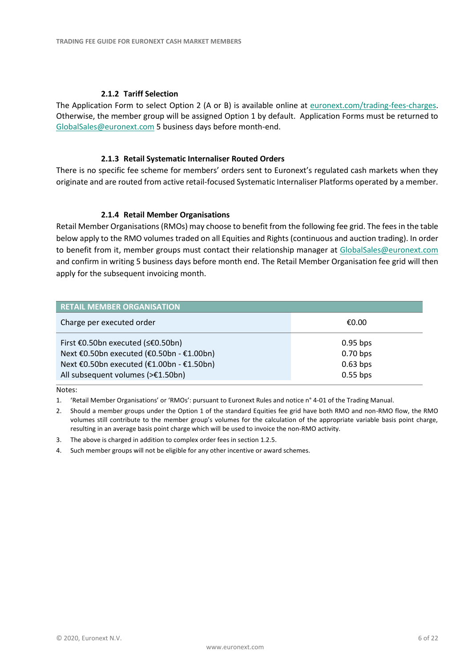#### **2.1.2 Tariff Selection**

The Application Form to select Option 2 (A or B) is available online at [euronext.com/trading-fees-charges.](https://www.euronext.com/fr/trading-fees-charges) Otherwise, the member group will be assigned Option 1 by default. Application Forms must be returned to [GlobalSales@euronext.com](mailto:GlobalSales@euronext.com) 5 business days before month-end.

#### **2.1.3 Retail Systematic Internaliser Routed Orders**

There is no specific fee scheme for members' orders sent to Euronext's regulated cash markets when they originate and are routed from active retail-focused Systematic Internaliser Platforms operated by a member.

#### **2.1.4 Retail Member Organisations**

Retail Member Organisations (RMOs) may choose to benefit from the following fee grid. The fees in the table below apply to the RMO volumes traded on all Equities and Rights (continuous and auction trading). In order to benefit from it, member groups must contact their relationship manager at [GlobalSales@euronext.com](mailto:GlobalSales@euronext.com) and confirm in writing 5 business days before month end. The Retail Member Organisation fee grid will then apply for the subsequent invoicing month.

| <b>RETAIL MEMBER ORGANISATION</b>         |            |
|-------------------------------------------|------------|
| Charge per executed order                 | €0.00      |
| First €0.50bn executed (≤€0.50bn)         | $0.95$ bps |
| Next €0.50bn executed (€0.50bn - €1.00bn) | $0.70$ bps |
| Next €0.50bn executed (€1.00bn - €1.50bn) | $0.63$ bps |
| All subsequent volumes (>€1.50bn)         | $0.55$ bps |

Notes:

- 1. 'Retail Member Organisations' or 'RMOs': pursuant to Euronext Rules and notice n° 4-01 of the Trading Manual.
- 2. Should a member groups under the Option 1 of the standard Equities fee grid have both RMO and non-RMO flow, the RMO volumes still contribute to the member group's volumes for the calculation of the appropriate variable basis point charge, resulting in an average basis point charge which will be used to invoice the non-RMO activity.
- 3. The above is charged in addition to complex order fees in section 1.2.5.
- 4. Such member groups will not be eligible for any other incentive or award schemes.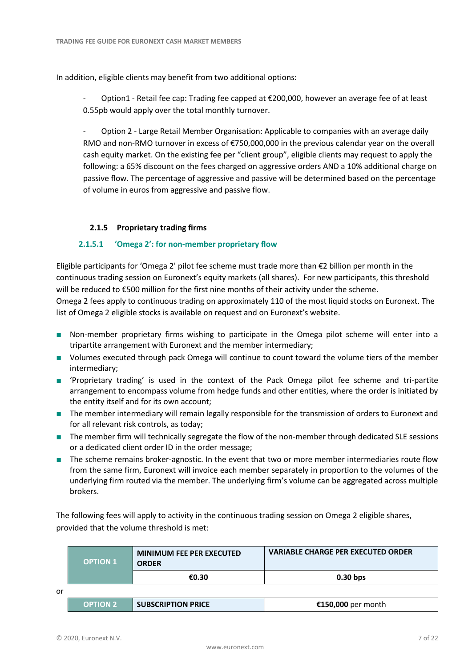In addition, eligible clients may benefit from two additional options:

Option1 - Retail fee cap: Trading fee capped at €200,000, however an average fee of at least 0.55pb would apply over the total monthly turnover.

Option 2 - Large Retail Member Organisation: Applicable to companies with an average daily RMO and non-RMO turnover in excess of €750,000,000 in the previous calendar year on the overall cash equity market. On the existing fee per "client group", eligible clients may request to apply the following: a 65% discount on the fees charged on aggressive orders AND a 10% additional charge on passive flow. The percentage of aggressive and passive will be determined based on the percentage of volume in euros from aggressive and passive flow.

# **2.1.5 Proprietary trading firms**

# **2.1.5.1 'Omega 2': for non-member proprietary flow**

Eligible participants for 'Omega 2' pilot fee scheme must trade more than €2 billion per month in the continuous trading session on Euronext's equity markets (all shares). For new participants, this threshold will be reduced to €500 million for the first nine months of their activity under the scheme. Omega 2 fees apply to continuous trading on approximately 110 of the most liquid stocks on Euronext. The

list of Omega 2 eligible stocks is available on request and on Euronext's website.

- Non-member proprietary firms wishing to participate in the Omega pilot scheme will enter into a tripartite arrangement with Euronext and the member intermediary;
- Volumes executed through pack Omega will continue to count toward the volume tiers of the member intermediary;
- 'Proprietary trading' is used in the context of the Pack Omega pilot fee scheme and tri-partite arrangement to encompass volume from hedge funds and other entities, where the order is initiated by the entity itself and for its own account;
- The member intermediary will remain legally responsible for the transmission of orders to Euronext and for all relevant risk controls, as today;
- The member firm will technically segregate the flow of the non-member through dedicated SLE sessions or a dedicated client order ID in the order message;
- The scheme remains broker-agnostic. In the event that two or more member intermediaries route flow from the same firm, Euronext will invoice each member separately in proportion to the volumes of the underlying firm routed via the member. The underlying firm's volume can be aggregated across multiple brokers.

The following fees will apply to activity in the continuous trading session on Omega 2 eligible shares, provided that the volume threshold is met:

|    | <b>OPTION 1</b> | <b>MINIMUM FEE PER EXECUTED</b><br><b>ORDER</b> | <b>VARIABLE CHARGE PER EXECUTED ORDER</b> |
|----|-----------------|-------------------------------------------------|-------------------------------------------|
|    |                 | €0.30                                           | $0.30$ bps                                |
| or |                 |                                                 |                                           |
|    | <b>OPTION 2</b> | <b>SUBSCRIPTION PRICE</b>                       | €150,000 per month                        |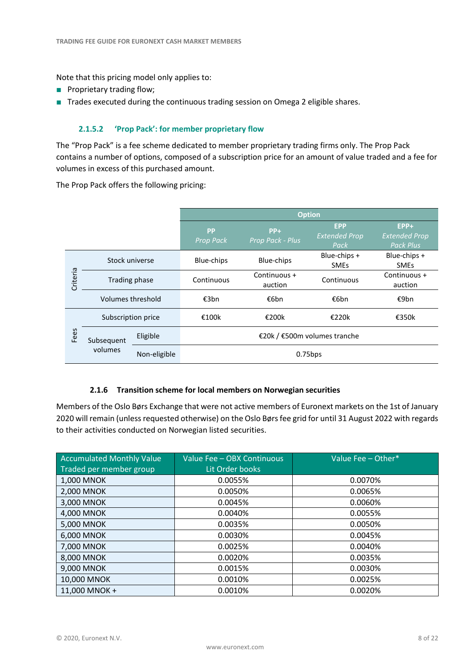Note that this pricing model only applies to:

- Proprietary trading flow;
- Trades executed during the continuous trading session on Omega 2 eligible shares.

# **2.1.5.2 'Prop Pack': for member proprietary flow**

The "Prop Pack" is a fee scheme dedicated to member proprietary trading firms only. The Prop Pack contains a number of options, composed of a subscription price for an amount of value traded and a fee for volumes in excess of this purchased amount.

The Prop Pack offers the following pricing:

|          |                       |              | <b>Option</b>                 |                           |                                            |                                                    |
|----------|-----------------------|--------------|-------------------------------|---------------------------|--------------------------------------------|----------------------------------------------------|
|          |                       |              | <b>PP</b><br><b>Prop Pack</b> | $PP+$<br>Prop Pack - Plus | <b>EPP</b><br><b>Extended Prop</b><br>Pack | $EPP+$<br><b>Extended Prop</b><br><b>Pack Plus</b> |
|          | Stock universe        |              | Blue-chips                    | Blue-chips                | Blue-chips +<br><b>SMEs</b>                | Blue-chips +<br><b>SMEs</b>                        |
| Criteria | Trading phase         |              | Continuous                    | Continuous +<br>auction   | Continuous                                 | Continuous +<br>auction                            |
|          | Volumes threshold     |              | €3bn                          | €6bn                      | €6bn                                       | €9bn                                               |
|          | Subscription price    |              | €100k                         | €200k                     | €220k                                      | €350k                                              |
| Fees     | Subsequent<br>volumes | Eligible     |                               |                           | €20k / €500m volumes tranche               |                                                    |
|          |                       | Non-eligible |                               |                           | $0.75$ bps                                 |                                                    |

# **2.1.6 Transition scheme for local members on Norwegian securities**

Members of the Oslo Børs Exchange that were not active members of Euronext markets on the 1st of January 2020 will remain (unless requested otherwise) on the Oslo Børs fee grid for until 31 August 2022 with regards to their activities conducted on Norwegian listed securities.

| <b>Accumulated Monthly Value</b><br>Traded per member group | Value Fee - OBX Continuous<br>Lit Order books | Value Fee - Other* |
|-------------------------------------------------------------|-----------------------------------------------|--------------------|
| 1,000 MNOK                                                  | 0.0055%                                       | 0.0070%            |
| 2,000 MNOK                                                  | 0.0050%                                       | 0.0065%            |
| 3,000 MNOK                                                  | 0.0045%                                       | 0.0060%            |
| 4,000 MNOK                                                  | 0.0040%                                       | 0.0055%            |
| 5,000 MNOK                                                  | 0.0035%                                       | 0.0050%            |
| 6,000 MNOK                                                  | 0.0030%                                       | 0.0045%            |
| 7,000 MNOK                                                  | 0.0025%                                       | 0.0040%            |
| 8,000 MNOK                                                  | 0.0020%                                       | 0.0035%            |
| 9,000 MNOK                                                  | 0.0015%                                       | 0.0030%            |
| 10,000 MNOK                                                 | 0.0010%                                       | 0.0025%            |
| 11,000 MNOK +                                               | 0.0010%                                       | 0.0020%            |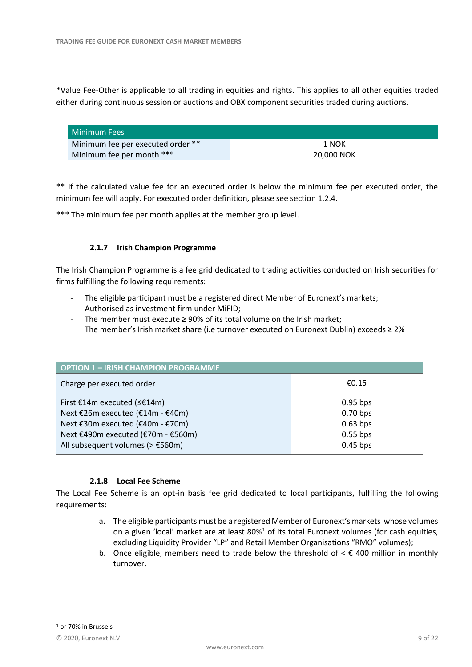\*Value Fee-Other is applicable to all trading in equities and rights. This applies to all other equities traded either during continuous session or auctions and OBX component securities traded during auctions.

| Minimum Fees                      |            |
|-----------------------------------|------------|
| Minimum fee per executed order ** | 1 NOK      |
| Minimum fee per month ***         | 20,000 NOK |

\*\* If the calculated value fee for an executed order is below the minimum fee per executed order, the minimum fee will apply. For executed order definition, please see section 1.2.4.

\*\*\* The minimum fee per month applies at the member group level.

# **2.1.7 Irish Champion Programme**

The Irish Champion Programme is a fee grid dedicated to trading activities conducted on Irish securities for firms fulfilling the following requirements:

- The eligible participant must be a registered direct Member of Euronext's markets;
- Authorised as investment firm under MiFID;
- The member must execute  $\geq$  90% of its total volume on the Irish market; The member's Irish market share (i.e turnover executed on Euronext Dublin) exceeds ≥ 2%

| <b>OPTION 1 - IRISH CHAMPION PROGRAMME</b>                                                                                                                                                           |                                                                    |  |  |
|------------------------------------------------------------------------------------------------------------------------------------------------------------------------------------------------------|--------------------------------------------------------------------|--|--|
| €0.15<br>Charge per executed order                                                                                                                                                                   |                                                                    |  |  |
| First €14m executed (≤€14m)<br>Next €26m executed (€14m - €40m)<br>Next €30m executed (€40m - €70m)<br>Next €490m executed (€70m - €560m)<br>All subsequent volumes ( $> \text{\textsterling}560m$ ) | $0.95$ bps<br>$0.70$ bps<br>$0.63$ bps<br>$0.55$ bps<br>$0.45$ bps |  |  |

# **2.1.8 Local Fee Scheme**

The Local Fee Scheme is an opt-in basis fee grid dedicated to local participants, fulfilling the following requirements:

- a. The eligible participants must be a registered Member of Euronext's markets whose volumes on a given 'local' market are at least 80%<sup>1</sup> of its total Euronext volumes (for cash equities, excluding Liquidity Provider "LP" and Retail Member Organisations "RMO" volumes);
- b. Once eligible, members need to trade below the threshold of  $\epsilon \in 400$  million in monthly turnover.

\_\_\_\_\_\_\_\_\_\_\_\_\_\_\_\_\_\_\_\_\_\_\_\_\_\_\_\_\_\_\_\_\_\_\_\_\_\_\_\_\_\_\_\_\_\_\_\_\_\_\_\_\_\_\_\_\_\_\_\_\_\_\_\_\_\_\_\_\_\_\_\_\_\_\_\_\_\_\_\_\_\_\_\_\_\_\_\_\_\_\_\_\_\_\_\_\_\_\_\_\_\_\_\_\_\_\_\_\_\_\_\_\_\_\_\_\_\_\_\_\_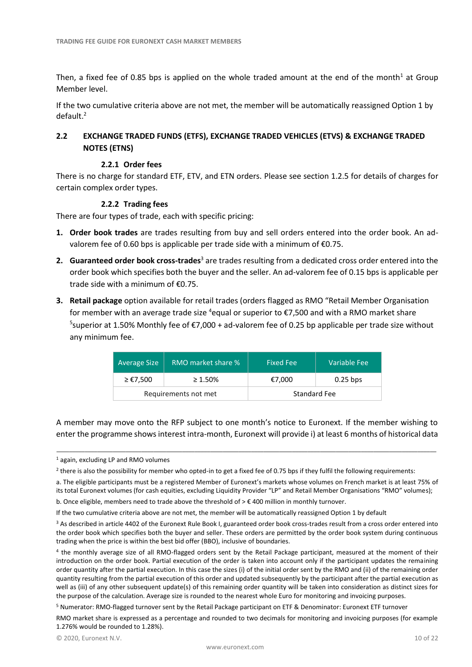Then, a fixed fee of 0.85 bps is applied on the whole traded amount at the end of the month<sup>1</sup> at Group Member level.

If the two cumulative criteria above are not met, the member will be automatically reassigned Option 1 by default. 2

# <span id="page-9-0"></span>**2.2 EXCHANGE TRADED FUNDS (ETFS), EXCHANGE TRADED VEHICLES (ETVS) & EXCHANGE TRADED NOTES (ETNS)**

#### **2.2.1 Order fees**

There is no charge for standard ETF, ETV, and ETN orders. Please se[e section 1.2.5](#page-2-3) for details of charges for certain complex order types.

#### **2.2.2 Trading fees**

There are four types of trade, each with specific pricing:

- **1. Order book trades** are trades resulting from buy and sell orders entered into the order book. An advalorem fee of 0.60 bps is applicable per trade side with a minimum of €0.75.
- **2.** Guaranteed order book cross-trades<sup>3</sup> are trades resulting from a dedicated cross order entered into the order book which specifies both the buyer and the seller. An ad-valorem fee of 0.15 bps is applicable per trade side with a minimum of €0.75.
- **3. Retail package** option available for retail trades (orders flagged as RMO "Retail Member Organisation for member with an average trade size <sup>4</sup>equal or superior to  $\epsilon$ 7,500 and with a RMO market share <sup>5</sup>superior at 1.50% Monthly fee of €7,000 + ad-valorem fee of 0.25 bp applicable per trade size without any minimum fee.

| <b>Average Size</b>  | RMO market share % | <b>Fixed Fee</b>    | Variable Fee |
|----------------------|--------------------|---------------------|--------------|
| ≥ €7,500             | $\geq 1.50\%$      | €7.000              | $0.25$ bps   |
| Requirements not met |                    | <b>Standard Fee</b> |              |

A member may move onto the RFP subject to one month's notice to Euronext. If the member wishing to enter the programme shows interest intra-month, Euronext will provide i) at least 6 months of historical data

\_\_\_\_\_\_\_\_\_\_\_\_\_\_\_\_\_\_\_\_\_\_\_\_\_\_\_\_\_\_\_\_\_\_\_\_\_\_\_\_\_\_\_\_\_\_\_\_\_\_\_\_\_\_\_\_\_\_\_\_\_\_\_\_\_\_\_\_\_\_\_\_\_\_\_\_\_\_\_\_\_\_\_\_\_\_\_\_\_\_\_\_\_\_\_\_\_\_\_\_\_\_\_\_\_\_\_\_\_\_\_\_\_\_\_\_\_\_\_\_\_

a. The eligible participants must be a registered Member of Euronext's markets whose volumes on French market is at least 75% of its total Euronext volumes (for cash equities, excluding Liquidity Provider "LP" and Retail Member Organisations "RMO" volumes);

b. Once eligible, members need to trade above the threshold of  $> \text{\textsterling}$  400 million in monthly turnover.

If the two cumulative criteria above are not met, the member will be automatically reassigned Option 1 by default

<sup>3</sup> As described in article 4402 of the Euronext Rule Book I, guaranteed order book cross-trades result from a cross order entered into the order book which specifies both the buyer and seller. These orders are permitted by the order book system during continuous trading when the price is within the best bid offer (BBO), inclusive of boundaries.

4 the monthly average size of all RMO-flagged orders sent by the Retail Package participant, measured at the moment of their introduction on the order book. Partial execution of the order is taken into account only if the participant updates the remaining order quantity after the partial execution. In this case the sizes (i) of the initial order sent by the RMO and (ii) of the remaining order quantity resulting from the partial execution of this order and updated subsequently by the participant after the partial execution as well as (iii) of any other subsequent update(s) of this remaining order quantity will be taken into consideration as distinct sizes for the purpose of the calculation. Average size is rounded to the nearest whole Euro for monitoring and invoicing purposes.

<sup>5</sup> Numerator: RMO-flagged turnover sent by the Retail Package participant on ETF & Denominator: Euronext ETF turnover

RMO market share is expressed as a percentage and rounded to two decimals for monitoring and invoicing purposes (for example 1.276% would be rounded to 1.28%).

<sup>1</sup> again, excluding LP and RMO volumes

<sup>&</sup>lt;sup>2</sup> there is also the possibility for member who opted-in to get a fixed fee of 0.75 bps if they fulfil the following requirements: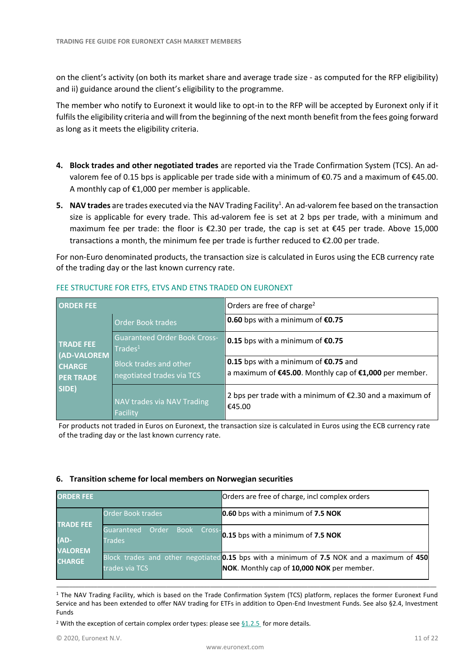on the client's activity (on both its market share and average trade size - as computed for the RFP eligibility) and ii) guidance around the client's eligibility to the programme.

The member who notify to Euronext it would like to opt-in to the RFP will be accepted by Euronext only if it fulfils the eligibility criteria and will from the beginning of the next month benefit from the fees going forward as long as it meets the eligibility criteria.

- **4. Block trades and other negotiated trades** are reported via the Trade Confirmation System (TCS). An advalorem fee of 0.15 bps is applicable per trade side with a minimum of  $\epsilon$ 0.75 and a maximum of  $\epsilon$ 45.00. A monthly cap of €1,000 per member is applicable.
- 5. NAV trades are trades executed via the NAV Trading Facility<sup>1</sup>. An ad-valorem fee based on the transaction size is applicable for every trade. This ad-valorem fee is set at 2 bps per trade, with a minimum and maximum fee per trade: the floor is €2.30 per trade, the cap is set at €45 per trade. Above 15,000 transactions a month, the minimum fee per trade is further reduced to €2.00 per trade.

For non-Euro denominated products, the transaction size is calculated in Euros using the ECB currency rate of the trading day or the last known currency rate.

| <b>ORDER FEE</b>                  |                                                                     | Orders are free of charge <sup>2</sup>                                                           |
|-----------------------------------|---------------------------------------------------------------------|--------------------------------------------------------------------------------------------------|
|                                   | <b>Order Book trades</b>                                            | 0.60 bps with a minimum of $$0.75$                                                               |
| <b>TRADE FEE</b><br>(AD-VALOREM   | <b>Guaranteed Order Book Cross-</b><br>$\sqrt{\mathsf{Trades}}^{1}$ | 0.15 bps with a minimum of $€0.75$                                                               |
| <b>CHARGE</b><br><b>PER TRADE</b> | <b>Block trades and other</b><br>negotiated trades via TCS          | 0.15 bps with a minimum of $$0.75$ and<br>a maximum of €45.00. Monthly cap of €1,000 per member. |
| SIDE)                             | NAV trades via NAV Trading<br>Facility                              | 2 bps per trade with a minimum of $E$ 2.30 and a maximum of<br>€45.00                            |

# FEE STRUCTURE FOR ETFS, ETVS AND ETNS TRADED ON EURONEXT

For products not traded in Euros on Euronext, the transaction size is calculated in Euros using the ECB currency rate of the trading day or the last known currency rate.

# <span id="page-10-0"></span>**6. Transition scheme for local members on Norwegian securities**

| <b>ORDER FEE</b>                           |                                                        | Orders are free of charge, incl complex orders                                                                                                 |
|--------------------------------------------|--------------------------------------------------------|------------------------------------------------------------------------------------------------------------------------------------------------|
|                                            | <b>Order Book trades</b>                               | 0.60 bps with a minimum of 7.5 NOK                                                                                                             |
| <b>TRADE FEE</b><br>(AD-<br><b>VALOREM</b> | Order<br>Guaranteed<br>Book<br>Cross-<br><b>Frades</b> | 0.15 bps with a minimum of 7.5 NOK                                                                                                             |
| <b>CHARGE</b>                              | trades via TCS                                         | Block trades and other negotiated <b>0.15</b> bps with a minimum of 7.5 NOK and a maximum of 450<br>NOK. Monthly cap of 10,000 NOK per member. |

<sup>1</sup> The NAV Trading Facility, which is based on the Trade Confirmation System (TCS) platform, replaces the former Euronext Fund Service and has been extended to offer NAV trading for ETFs in addition to Open-End Investment Funds. See also §2.4, Investment Funds

\_\_\_\_\_\_\_\_\_\_\_\_\_\_\_\_\_\_\_\_\_\_\_\_\_\_\_\_\_\_\_\_\_\_\_\_\_\_\_\_\_\_\_\_\_\_\_\_\_\_\_\_\_\_\_\_\_\_\_\_\_\_\_\_\_\_\_\_\_\_\_\_\_\_\_\_\_\_\_\_\_\_\_\_\_\_\_\_\_\_\_\_\_\_\_\_\_\_\_\_\_\_\_\_\_\_\_\_\_\_\_\_\_\_\_\_\_\_\_\_\_

<sup>2</sup> With the exception of certain complex order types: please see  $$1.2.5$  for more details.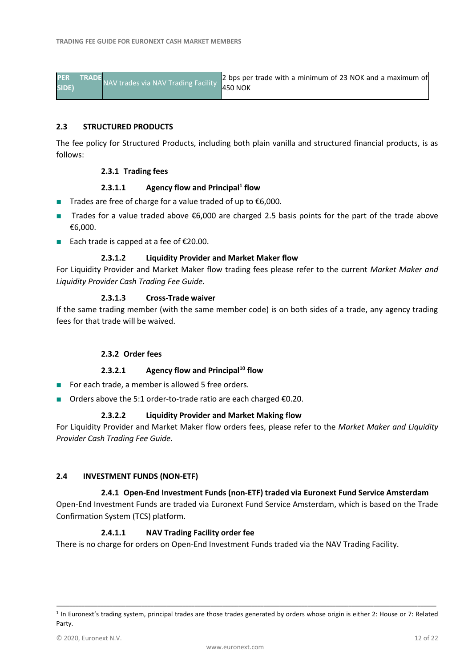| <b>PER</b> | <b>TRADE</b> | NAV trades via NAV Trading Facility | 2 bps per trade with a minimum of 23 NOK and a maximum of |
|------------|--------------|-------------------------------------|-----------------------------------------------------------|
| SIDE)      |              |                                     | <b>450 NOK</b>                                            |
|            |              |                                     |                                                           |

#### **2.3 STRUCTURED PRODUCTS**

The fee policy for Structured Products, including both plain vanilla and structured financial products, is as follows:

#### **2.3.1 Trading fees**

#### <span id="page-11-1"></span>**2.3.1.1 Agency flow and Principal<sup>1</sup> flow**

- Trades are free of charge for a value traded of up to €6,000.
- Trades for a value traded above €6,000 are charged 2.5 basis points for the part of the trade above €6,000.
- Each trade is capped at a fee of €20.00.

#### **2.3.1.2 Liquidity Provider and Market Maker flow**

For Liquidity Provider and Market Maker flow trading fees please refer to the current *Market Maker and Liquidity Provider Cash Trading Fee Guide*.

#### **2.3.1.3 Cross-Trade waiver**

If the same trading member (with the same member code) is on both sides of a trade, any agency trading fees for that trade will be waived.

# **2.3.2 Order fees**

#### **2.3.2.1 Agency flow and Principal[10](#page-11-1) flow**

- For each trade, a member is allowed 5 free orders.
- Orders above the 5:1 order-to-trade ratio are each charged €0.20.

#### **2.3.2.2 Liquidity Provider and Market Making flow**

For Liquidity Provider and Market Maker flow orders fees, please refer to the *Market Maker and Liquidity Provider Cash Trading Fee Guide*.

#### <span id="page-11-0"></span>**2.4 INVESTMENT FUNDS (NON-ETF)**

# **2.4.1 Open-End Investment Funds (non-ETF) traded via Euronext Fund Service Amsterdam**

Open-End Investment Funds are traded via Euronext Fund Service Amsterdam, which is based on the Trade Confirmation System (TCS) platform.

# **2.4.1.1 NAV Trading Facility order fee**

There is no charge for orders on Open-End Investment Funds traded via the NAV Trading Facility.

\_\_\_\_\_\_\_\_\_\_\_\_\_\_\_\_\_\_\_\_\_\_\_\_\_\_\_\_\_\_\_\_\_\_\_\_\_\_\_\_\_\_\_\_\_\_\_\_\_\_\_\_\_\_\_\_\_\_\_\_\_\_\_\_\_\_\_\_\_\_\_\_\_\_\_\_\_\_\_\_\_\_\_\_\_\_\_\_\_\_\_\_\_\_\_\_\_\_\_\_\_\_\_\_\_\_\_\_\_\_\_\_\_\_\_\_\_\_\_\_\_ 1 In Euronext's trading system, principal trades are those trades generated by orders whose origin is either 2: House or 7: Related Party.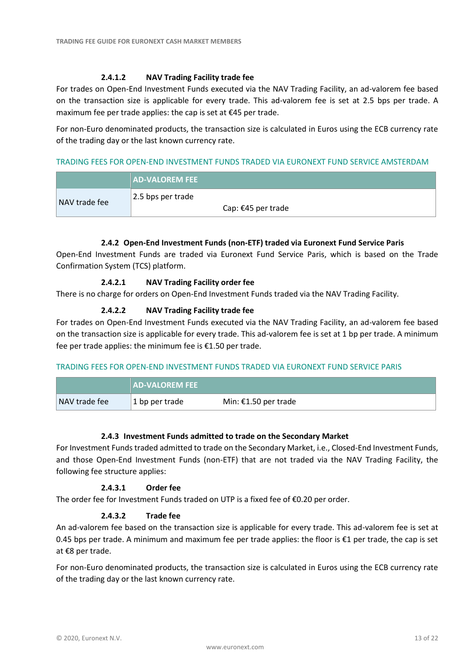# **2.4.1.2 NAV Trading Facility trade fee**

For trades on Open-End Investment Funds executed via the NAV Trading Facility, an ad-valorem fee based on the transaction size is applicable for every trade. This ad-valorem fee is set at 2.5 bps per trade. A maximum fee per trade applies: the cap is set at €45 per trade.

For non-Euro denominated products, the transaction size is calculated in Euros using the ECB currency rate of the trading day or the last known currency rate.

# TRADING FEES FOR OPEN-END INVESTMENT FUNDS TRADED VIA EURONEXT FUND SERVICE AMSTERDAM

|               | <b>AD-VALOREM FEE</b>                   |
|---------------|-----------------------------------------|
| NAV trade fee | 2.5 bps per trade<br>Cap: €45 per trade |

# **2.4.2 Open-End Investment Funds (non-ETF) traded via Euronext Fund Service Paris**

Open-End Investment Funds are traded via Euronext Fund Service Paris, which is based on the Trade Confirmation System (TCS) platform.

# **2.4.2.1 NAV Trading Facility order fee**

There is no charge for orders on Open-End Investment Funds traded via the NAV Trading Facility.

# **2.4.2.2 NAV Trading Facility trade fee**

For trades on Open-End Investment Funds executed via the NAV Trading Facility, an ad-valorem fee based on the transaction size is applicable for every trade. This ad-valorem fee is set at 1 bp per trade. A minimum fee per trade applies: the minimum fee is €1.50 per trade.

# TRADING FEES FOR OPEN-END INVESTMENT FUNDS TRADED VIA EURONEXT FUND SERVICE PARIS

|               | <b>AD-VALOREM FEE</b> |                      |
|---------------|-----------------------|----------------------|
| NAV trade fee | 1 bp per trade        | Min: €1.50 per trade |

# **2.4.3 Investment Funds admitted to trade on the Secondary Market**

For Investment Funds traded admitted to trade on the Secondary Market, i.e., Closed-End Investment Funds, and those Open-End Investment Funds (non-ETF) that are not traded via the NAV Trading Facility, the following fee structure applies:

# **2.4.3.1 Order fee**

The order fee for Investment Funds traded on UTP is a fixed fee of  $$0.20$  per order.

# **2.4.3.2 Trade fee**

An ad-valorem fee based on the transaction size is applicable for every trade. This ad-valorem fee is set at 0.45 bps per trade. A minimum and maximum fee per trade applies: the floor is €1 per trade, the cap is set at €8 per trade.

For non-Euro denominated products, the transaction size is calculated in Euros using the ECB currency rate of the trading day or the last known currency rate.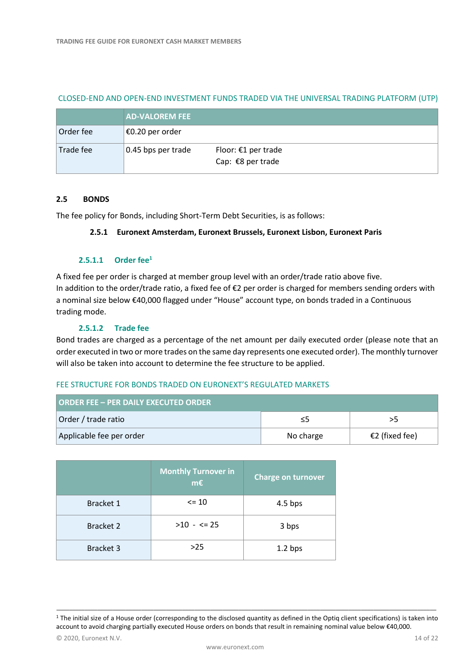|           | <b>AD-VALOREM FEE</b> |                                            |
|-----------|-----------------------|--------------------------------------------|
| Order fee | $\in$ €0.20 per order |                                            |
| Trade fee | 0.45 bps per trade    | Floor: $£1$ per trade<br>Cap: €8 per trade |

#### CLOSED-END AND OPEN-END INVESTMENT FUNDS TRADED VIA THE UNIVERSAL TRADING PLATFORM (UTP)

# <span id="page-13-0"></span>**2.5 BONDS**

The fee policy for Bonds, including Short-Term Debt Securities, is as follows:

#### **2.5.1 Euronext Amsterdam, Euronext Brussels, Euronext Lisbon, Euronext Paris**

#### **2.5.1.1 Order fee<sup>1</sup>**

A fixed fee per order is charged at member group level with an order/trade ratio above five. In addition to the order/trade ratio, a fixed fee of €2 per order is charged for members sending orders with a nominal size below €40,000 flagged under "House" account type, on bonds traded in a Continuous trading mode.

# **2.5.1.2 Trade fee**

Bond trades are charged as a percentage of the net amount per daily executed order (please note that an order executed in two or more trades on the same day represents one executed order). The monthly turnover will also be taken into account to determine the fee structure to be applied.

# FEE STRUCTURE FOR BONDS TRADED ON EURONEXT'S REGULATED MARKETS

| <b>ORDER FEE - PER DAILY EXECUTED ORDER</b> |           |                |
|---------------------------------------------|-----------|----------------|
| Order / trade ratio                         | כ≥        | ל<             |
| Applicable fee per order                    | No charge | €2 (fixed fee) |

|                  | <b>Monthly Turnover in</b><br>$m\epsilon$ | <b>Charge on turnover</b> |
|------------------|-------------------------------------------|---------------------------|
| Bracket 1        | $\leq$ 10                                 | $4.5$ bps                 |
| <b>Bracket 2</b> | $>10 - 5 = 25$                            | 3 bps                     |
| Bracket 3        | >25                                       | 1.2 <sub>bps</sub>        |

\_\_\_\_\_\_\_\_\_\_\_\_\_\_\_\_\_\_\_\_\_\_\_\_\_\_\_\_\_\_\_\_\_\_\_\_\_\_\_\_\_\_\_\_\_\_\_\_\_\_\_\_\_\_\_\_\_\_\_\_\_\_\_\_\_\_\_\_\_\_\_\_\_\_\_\_\_\_\_\_\_\_\_\_\_\_\_\_\_\_\_\_\_\_\_\_\_\_\_\_\_\_\_\_\_\_\_\_\_\_\_\_\_\_\_\_\_\_\_\_\_  $1$  The initial size of a House order (corresponding to the disclosed quantity as defined in the Optiq client specifications) is taken into account to avoid charging partially executed House orders on bonds that result in remaining nominal value below €40,000.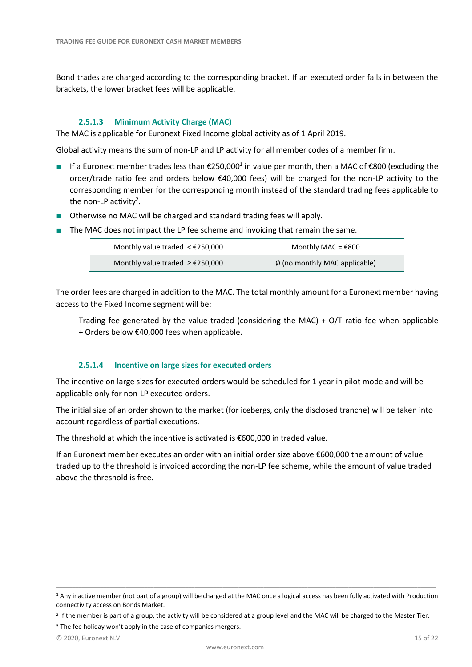Bond trades are charged according to the corresponding bracket. If an executed order falls in between the brackets, the lower bracket fees will be applicable.

# **2.5.1.3 Minimum Activity Charge (MAC)**

The MAC is applicable for Euronext Fixed Income global activity as of 1 April 2019.

Global activity means the sum of non-LP and LP activity for all member codes of a member firm.

- If a Euronext member trades less than €250,000<sup>1</sup> in value per month, then a MAC of €800 (excluding the order/trade ratio fee and orders below €40,000 fees) will be charged for the non-LP activity to the corresponding member for the corresponding month instead of the standard trading fees applicable to the non-LP activity<sup>2</sup>.
- Otherwise no MAC will be charged and standard trading fees will apply.
- The MAC does not impact the LP fee scheme and invoicing that remain the same.

| Monthly value traded $\leq$ £250,000                    | Monthly MAC = $£800$                    |
|---------------------------------------------------------|-----------------------------------------|
| Monthly value traded $\geq \text{\textsterling}250,000$ | $\emptyset$ (no monthly MAC applicable) |

The order fees are charged in addition to the MAC. The total monthly amount for a Euronext member having access to the Fixed Income segment will be:

Trading fee generated by the value traded (considering the MAC) + O/T ratio fee when applicable + Orders below €40,000 fees when applicable.

# **2.5.1.4 Incentive on large sizes for executed orders**

The incentive on large sizes for executed orders would be scheduled for 1 year in pilot mode and will be applicable only for non-LP executed orders.

The initial size of an order shown to the market (for icebergs, only the disclosed tranche) will be taken into account regardless of partial executions.

The threshold at which the incentive is activated is  $\epsilon$ 600,000 in traded value.

If an Euronext member executes an order with an initial order size above €600,000 the amount of value traded up to the threshold is invoiced according the non-LP fee scheme, while the amount of value traded above the threshold is free.

\_\_\_\_\_\_\_\_\_\_\_\_\_\_\_\_\_\_\_\_\_\_\_\_\_\_\_\_\_\_\_\_\_\_\_\_\_\_\_\_\_\_\_\_\_\_\_\_\_\_\_\_\_\_\_\_\_\_\_\_\_\_\_\_\_\_\_\_\_\_\_\_\_\_\_\_\_\_\_\_\_\_\_\_\_\_\_\_\_\_\_\_\_\_\_\_\_\_\_\_\_\_\_\_\_\_\_\_\_\_\_\_\_\_\_\_\_\_\_\_\_ <sup>1</sup> Any inactive member (not part of a group) will be charged at the MAC once a logical access has been fully activated with Production connectivity access on Bonds Market.

<sup>&</sup>lt;sup>2</sup> If the member is part of a group, the activity will be considered at a group level and the MAC will be charged to the Master Tier.

<sup>&</sup>lt;sup>3</sup> The fee holiday won't apply in the case of companies mergers.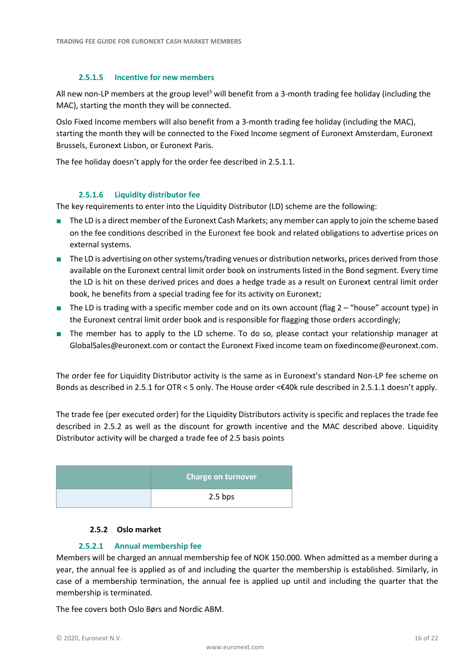# **2.5.1.5 Incentive for new members**

All new non-LP members at the group level<sup>3</sup> will benefit from a 3-month trading fee holiday (including the MAC), starting the month they will be connected.

Oslo Fixed Income members will also benefit from a 3-month trading fee holiday (including the MAC), starting the month they will be connected to the Fixed Income segment of Euronext Amsterdam, Euronext Brussels, Euronext Lisbon, or Euronext Paris.

The fee holiday doesn't apply for the order fee described in 2.5.1.1.

# **2.5.1.6 Liquidity distributor fee**

The key requirements to enter into the Liquidity Distributor (LD) scheme are the following:

- The LD is a direct member of the Euronext Cash Markets; any member can apply to join the scheme based on the fee conditions described in the Euronext fee book and related obligations to advertise prices on external systems.
- The LD is advertising on other systems/trading venues or distribution networks, prices derived from those available on the Euronext central limit order book on instruments listed in the Bond segment. Every time the LD is hit on these derived prices and does a hedge trade as a result on Euronext central limit order book, he benefits from a special trading fee for its activity on Euronext;
- The LD is trading with a specific member code and on its own account (flag 2 "house" account type) in the Euronext central limit order book and is responsible for flagging those orders accordingly;
- The member has to apply to the LD scheme. To do so, please contact your relationship manager at [GlobalSales@euronext.com](mailto:GlobalSales@euronext.com) or contact the Euronext Fixed income team o[n fixedincome@euronext.com.](mailto:fixedincome@euronext.com)

The order fee for Liquidity Distributor activity is the same as in Euronext's standard Non-LP fee scheme on Bonds as described in 2.5.1 for OTR < 5 only. The House order <€40k rule described in 2.5.1.1 doesn't apply.

The trade fee (per executed order) for the Liquidity Distributors activity is specific and replaces the trade fee described in 2.5.2 as well as the discount for growth incentive and the MAC described above. Liquidity Distributor activity will be charged a trade fee of 2.5 basis points

| <b>Charge on turnover</b> |
|---------------------------|
| $2.5$ bps                 |

# **2.5.2 Oslo market**

# **2.5.2.1 Annual membership fee**

Members will be charged an annual membership fee of NOK 150.000. When admitted as a member during a year, the annual fee is applied as of and including the quarter the membership is established. Similarly, in case of a membership termination, the annual fee is applied up until and including the quarter that the membership is terminated.

The fee covers both Oslo Børs and Nordic ABM.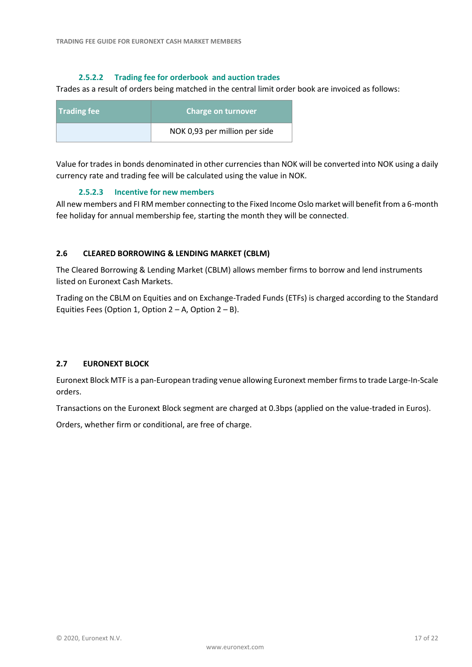# **2.5.2.2 Trading fee for orderbook and auction trades**

Trades as a result of orders being matched in the central limit order book are invoiced as follows:

| <b>Trading fee</b> | Charge on turnover            |
|--------------------|-------------------------------|
|                    | NOK 0,93 per million per side |

Value for trades in bonds denominated in other currencies than NOK will be converted into NOK using a daily currency rate and trading fee will be calculated using the value in NOK.

# **2.5.2.3 Incentive for new members**

All new members and FI RM member connecting to the Fixed Income Oslo market will benefit from a 6-month fee holiday for annual membership fee, starting the month they will be connected.

# <span id="page-16-0"></span>**2.6 CLEARED BORROWING & LENDING MARKET (CBLM)**

The Cleared Borrowing & Lending Market (CBLM) allows member firms to borrow and lend instruments listed on Euronext Cash Markets.

Trading on the CBLM on Equities and on Exchange-Traded Funds (ETFs) is charged according to the Standard Equities Fees (Option 1, Option  $2 - A$ , Option  $2 - B$ ).

# <span id="page-16-1"></span>**2.7 EURONEXT BLOCK**

Euronext Block MTF is a pan-European trading venue allowing Euronext member firms to trade Large-In-Scale orders.

Transactions on the Euronext Block segment are charged at 0.3bps (applied on the value-traded in Euros).

Orders, whether firm or conditional, are free of charge.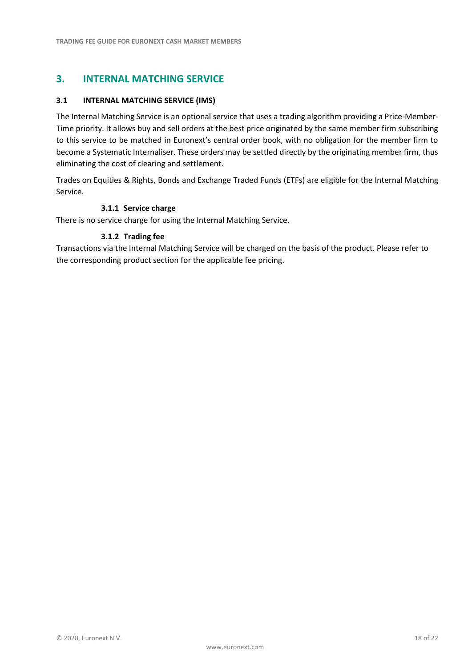# <span id="page-17-0"></span>**3. INTERNAL MATCHING SERVICE**

# <span id="page-17-1"></span>**3.1 INTERNAL MATCHING SERVICE (IMS)**

The Internal Matching Service is an optional service that uses a trading algorithm providing a Price-Member-Time priority. It allows buy and sell orders at the best price originated by the same member firm subscribing to this service to be matched in Euronext's central order book, with no obligation for the member firm to become a Systematic Internaliser. These orders may be settled directly by the originating member firm, thus eliminating the cost of clearing and settlement.

Trades on Equities & Rights, Bonds and Exchange Traded Funds (ETFs) are eligible for the Internal Matching Service.

# **3.1.1 Service charge**

There is no service charge for using the Internal Matching Service.

# **3.1.2 Trading fee**

Transactions via the Internal Matching Service will be charged on the basis of the product. Please refer to the corresponding product section for the applicable fee pricing.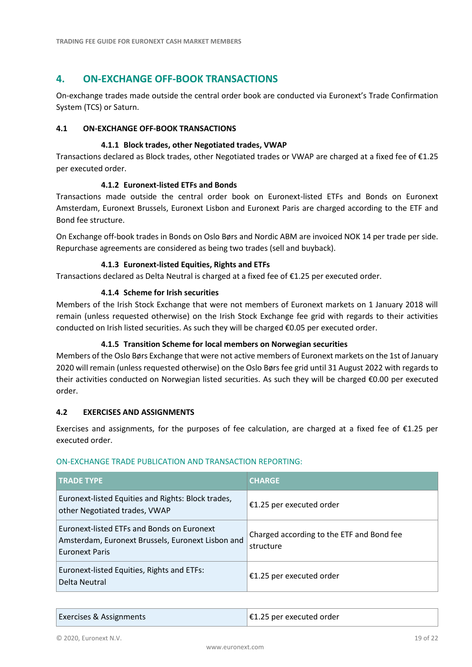# <span id="page-18-0"></span>**4. ON-EXCHANGE OFF-BOOK TRANSACTIONS**

On-exchange trades made outside the central order book are conducted via Euronext's Trade Confirmation System (TCS) or Saturn.

# <span id="page-18-1"></span>**4.1 ON-EXCHANGE OFF-BOOK TRANSACTIONS**

# **4.1.1 Block trades, other Negotiated trades, VWAP**

Transactions declared as Block trades, other Negotiated trades or VWAP are charged at a fixed fee of €1.25 per executed order.

# **4.1.2 Euronext-listed ETFs and Bonds**

Transactions made outside the central order book on Euronext-listed ETFs and Bonds on Euronext Amsterdam, Euronext Brussels, Euronext Lisbon and Euronext Paris are charged according to the ETF and Bond fee structure.

On Exchange off-book trades in Bonds on Oslo Børs and Nordic ABM are invoiced NOK 14 per trade per side. Repurchase agreements are considered as being two trades (sell and buyback).

# **4.1.3 Euronext-listed Equities, Rights and ETFs**

Transactions declared as Delta Neutral is charged at a fixed fee of €1.25 per executed order.

# **4.1.4 Scheme for Irish securities**

Members of the Irish Stock Exchange that were not members of Euronext markets on 1 January 2018 will remain (unless requested otherwise) on the Irish Stock Exchange fee grid with regards to their activities conducted on Irish listed securities. As such they will be charged €0.05 per executed order.

# **4.1.5 Transition Scheme for local members on Norwegian securities**

Members of the Oslo Børs Exchange that were not active members of Euronext markets on the 1st of January 2020 will remain (unless requested otherwise) on the Oslo Børs fee grid until 31 August 2022 with regards to their activities conducted on Norwegian listed securities. As such they will be charged €0.00 per executed order.

# <span id="page-18-2"></span>**4.2 EXERCISES AND ASSIGNMENTS**

Exercises and assignments, for the purposes of fee calculation, are charged at a fixed fee of  $E1.25$  per executed order.

| <b>TRADE TYPE</b>                                                                                                        | <b>CHARGE</b>                                          |
|--------------------------------------------------------------------------------------------------------------------------|--------------------------------------------------------|
| Euronext-listed Equities and Rights: Block trades,<br>other Negotiated trades, VWAP                                      | €1.25 per executed order                               |
| Euronext-listed ETFs and Bonds on Euronext<br>Amsterdam, Euronext Brussels, Euronext Lisbon and<br><b>Euronext Paris</b> | Charged according to the ETF and Bond fee<br>structure |
| Euronext-listed Equities, Rights and ETFs:<br>Delta Neutral                                                              | €1.25 per executed order                               |

# ON-EXCHANGE TRADE PUBLICATION AND TRANSACTION REPORTING:

Exercises & Assignments **EXELL** Exercises & Assignments **EXELL** EXECUTE: **EXECUTE**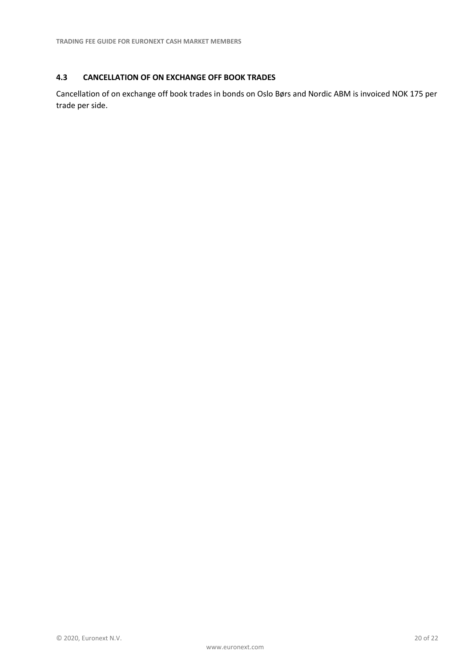# <span id="page-19-0"></span>**4.3 CANCELLATION OF ON EXCHANGE OFF BOOK TRADES**

Cancellation of on exchange off book trades in bonds on Oslo Børs and Nordic ABM is invoiced NOK 175 per trade per side.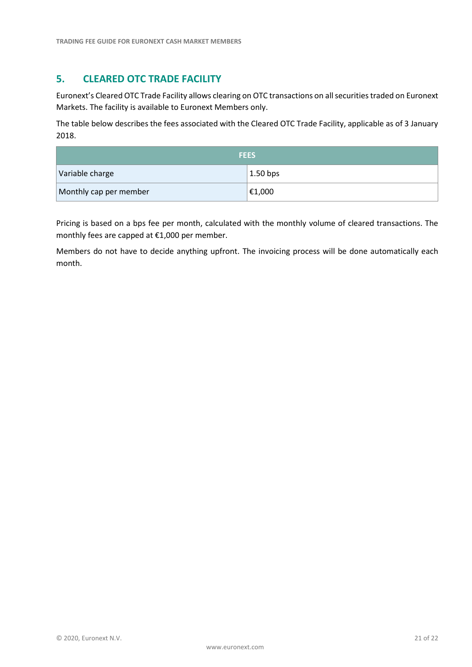# **5. CLEARED OTC TRADE FACILITY**

Euronext's Cleared OTC Trade Facility allows clearing on OTC transactions on all securities traded on Euronext Markets. The facility is available to Euronext Members only.

The table below describes the fees associated with the Cleared OTC Trade Facility, applicable as of 3 January 2018.

| <b>FEES</b>            |                      |
|------------------------|----------------------|
| Variable charge        | $1.50$ bps           |
| Monthly cap per member | $ \epsilon_{1,000} $ |

Pricing is based on a bps fee per month, calculated with the monthly volume of cleared transactions. The monthly fees are capped at €1,000 per member.

Members do not have to decide anything upfront. The invoicing process will be done automatically each month.